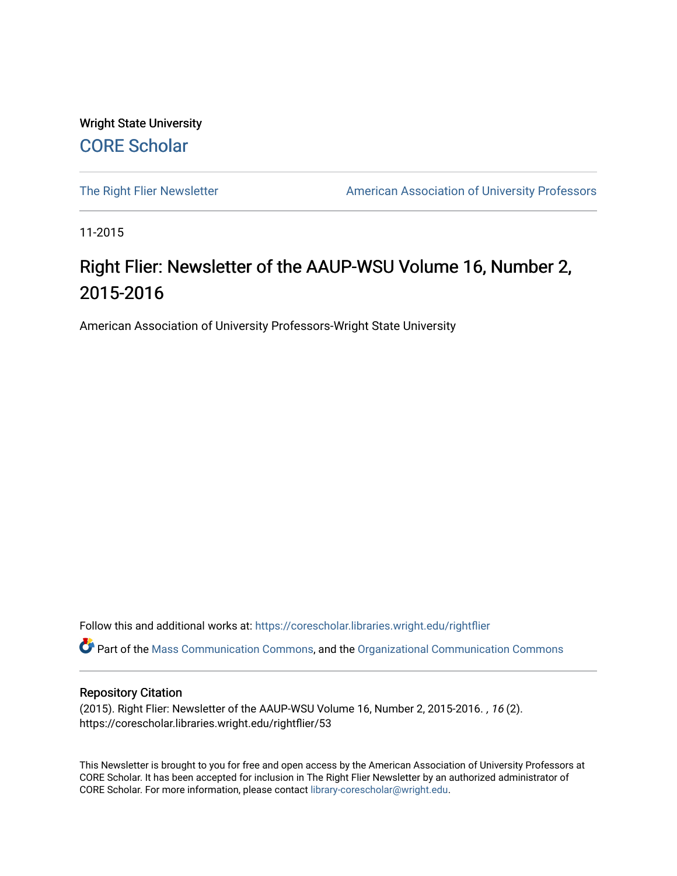Wright State University [CORE Scholar](https://corescholar.libraries.wright.edu/)

[The Right Flier Newsletter](https://corescholar.libraries.wright.edu/rightflier) **American Association of University Professors** 

11-2015

# Right Flier: Newsletter of the AAUP-WSU Volume 16, Number 2, 2015-2016

American Association of University Professors-Wright State University

Follow this and additional works at: [https://corescholar.libraries.wright.edu/rightflier](https://corescholar.libraries.wright.edu/rightflier?utm_source=corescholar.libraries.wright.edu%2Frightflier%2F53&utm_medium=PDF&utm_campaign=PDFCoverPages) 

Part of the [Mass Communication Commons,](http://network.bepress.com/hgg/discipline/334?utm_source=corescholar.libraries.wright.edu%2Frightflier%2F53&utm_medium=PDF&utm_campaign=PDFCoverPages) and the [Organizational Communication Commons](http://network.bepress.com/hgg/discipline/335?utm_source=corescholar.libraries.wright.edu%2Frightflier%2F53&utm_medium=PDF&utm_campaign=PDFCoverPages) 

#### Repository Citation

(2015). Right Flier: Newsletter of the AAUP-WSU Volume 16, Number 2, 2015-2016. , 16 (2). https://corescholar.libraries.wright.edu/rightflier/53

This Newsletter is brought to you for free and open access by the American Association of University Professors at CORE Scholar. It has been accepted for inclusion in The Right Flier Newsletter by an authorized administrator of CORE Scholar. For more information, please contact [library-corescholar@wright.edu](mailto:library-corescholar@wright.edu).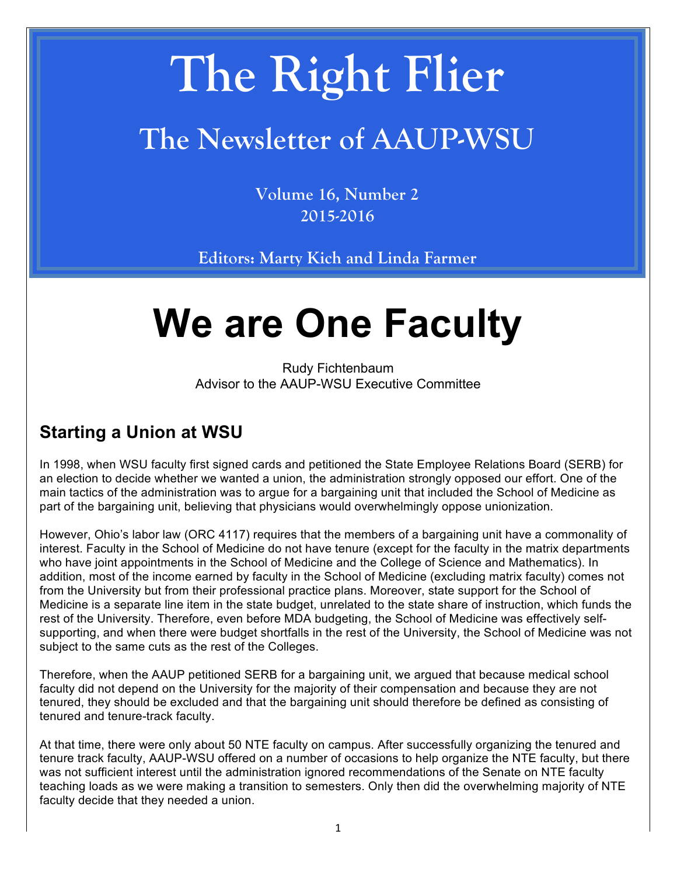# **The Right Flier**

# **The Newsletter of AAUP-WSU**

**Volume 16, Number 2 2015-2016**

**Editors: Marty Kich and Linda Farmer**

# **We are One Faculty**

Rudy Fichtenbaum Advisor to the AAUP-WSU Executive Committee

## **Starting a Union at WSU**

In 1998, when WSU faculty first signed cards and petitioned the State Employee Relations Board (SERB) for an election to decide whether we wanted a union, the administration strongly opposed our effort. One of the main tactics of the administration was to argue for a bargaining unit that included the School of Medicine as part of the bargaining unit, believing that physicians would overwhelmingly oppose unionization.

However, Ohio's labor law (ORC 4117) requires that the members of a bargaining unit have a commonality of interest. Faculty in the School of Medicine do not have tenure (except for the faculty in the matrix departments who have joint appointments in the School of Medicine and the College of Science and Mathematics). In addition, most of the income earned by faculty in the School of Medicine (excluding matrix faculty) comes not from the University but from their professional practice plans. Moreover, state support for the School of Medicine is a separate line item in the state budget, unrelated to the state share of instruction, which funds the rest of the University. Therefore, even before MDA budgeting, the School of Medicine was effectively selfsupporting, and when there were budget shortfalls in the rest of the University, the School of Medicine was not subject to the same cuts as the rest of the Colleges.

Therefore, when the AAUP petitioned SERB for a bargaining unit, we argued that because medical school faculty did not depend on the University for the majority of their compensation and because they are not tenured, they should be excluded and that the bargaining unit should therefore be defined as consisting of tenured and tenure-track faculty.

At that time, there were only about 50 NTE faculty on campus. After successfully organizing the tenured and tenure track faculty, AAUP-WSU offered on a number of occasions to help organize the NTE faculty, but there was not sufficient interest until the administration ignored recommendations of the Senate on NTE faculty teaching loads as we were making a transition to semesters. Only then did the overwhelming majority of NTE faculty decide that they needed a union.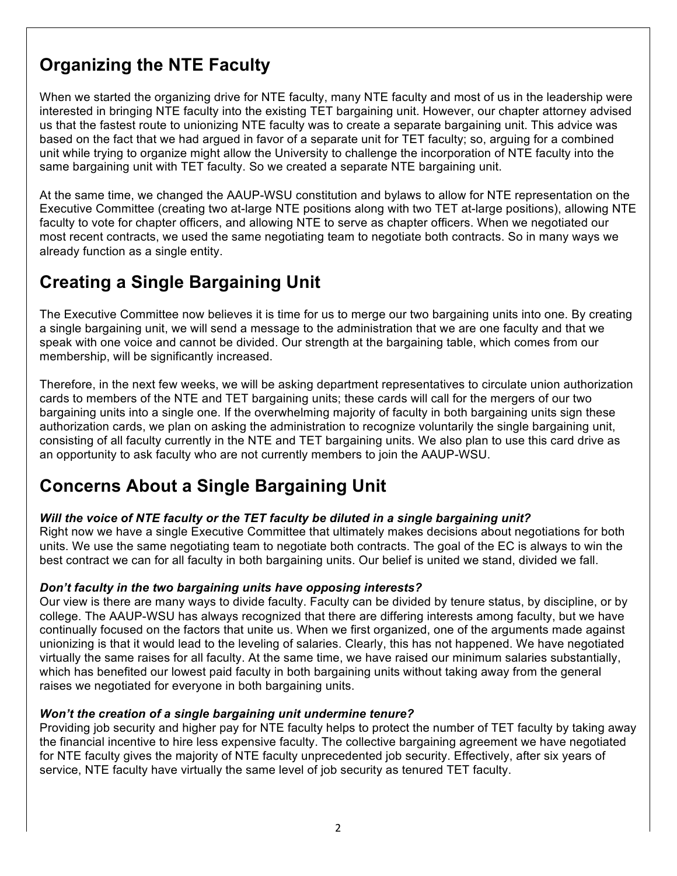# **Organizing the NTE Faculty**

When we started the organizing drive for NTE faculty, many NTE faculty and most of us in the leadership were interested in bringing NTE faculty into the existing TET bargaining unit. However, our chapter attorney advised us that the fastest route to unionizing NTE faculty was to create a separate bargaining unit. This advice was based on the fact that we had argued in favor of a separate unit for TET faculty; so, arguing for a combined unit while trying to organize might allow the University to challenge the incorporation of NTE faculty into the same bargaining unit with TET faculty. So we created a separate NTE bargaining unit.

At the same time, we changed the AAUP-WSU constitution and bylaws to allow for NTE representation on the Executive Committee (creating two at-large NTE positions along with two TET at-large positions), allowing NTE faculty to vote for chapter officers, and allowing NTE to serve as chapter officers. When we negotiated our most recent contracts, we used the same negotiating team to negotiate both contracts. So in many ways we already function as a single entity.

## **Creating a Single Bargaining Unit**

The Executive Committee now believes it is time for us to merge our two bargaining units into one. By creating a single bargaining unit, we will send a message to the administration that we are one faculty and that we speak with one voice and cannot be divided. Our strength at the bargaining table, which comes from our membership, will be significantly increased.

Therefore, in the next few weeks, we will be asking department representatives to circulate union authorization cards to members of the NTE and TET bargaining units; these cards will call for the mergers of our two bargaining units into a single one. If the overwhelming majority of faculty in both bargaining units sign these authorization cards, we plan on asking the administration to recognize voluntarily the single bargaining unit, consisting of all faculty currently in the NTE and TET bargaining units. We also plan to use this card drive as an opportunity to ask faculty who are not currently members to join the AAUP-WSU.

### **Concerns About a Single Bargaining Unit**

#### *Will the voice of NTE faculty or the TET faculty be diluted in a single bargaining unit?*

Right now we have a single Executive Committee that ultimately makes decisions about negotiations for both units. We use the same negotiating team to negotiate both contracts. The goal of the EC is always to win the best contract we can for all faculty in both bargaining units. Our belief is united we stand, divided we fall.

#### *Don't faculty in the two bargaining units have opposing interests?*

Our view is there are many ways to divide faculty. Faculty can be divided by tenure status, by discipline, or by college. The AAUP-WSU has always recognized that there are differing interests among faculty, but we have continually focused on the factors that unite us. When we first organized, one of the arguments made against unionizing is that it would lead to the leveling of salaries. Clearly, this has not happened. We have negotiated virtually the same raises for all faculty. At the same time, we have raised our minimum salaries substantially, which has benefited our lowest paid faculty in both bargaining units without taking away from the general raises we negotiated for everyone in both bargaining units.

#### *Won't the creation of a single bargaining unit undermine tenure?*

Providing job security and higher pay for NTE faculty helps to protect the number of TET faculty by taking away the financial incentive to hire less expensive faculty. The collective bargaining agreement we have negotiated for NTE faculty gives the majority of NTE faculty unprecedented job security. Effectively, after six years of service, NTE faculty have virtually the same level of job security as tenured TET faculty.